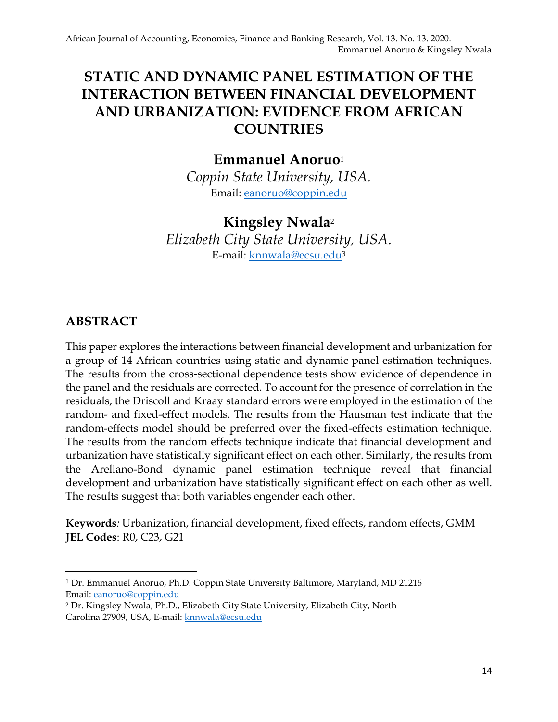# **STATIC AND DYNAMIC PANEL ESTIMATION OF THE INTERACTION BETWEEN FINANCIAL DEVELOPMENT AND URBANIZATION: EVIDENCE FROM AFRICAN COUNTRIES**

# **Emmanuel Anoruo**<sup>1</sup>

*Coppin State University, USA.* Email: [eanoruo@coppin.edu](about:blank)

# **Kingsley Nwala**<sup>2</sup>

*Elizabeth City State University, USA.* E-mail: [knnwala@ecsu.edu](about:blank)<sup>3</sup>

### **ABSTRACT**

This paper explores the interactions between financial development and urbanization for a group of 14 African countries using static and dynamic panel estimation techniques. The results from the cross-sectional dependence tests show evidence of dependence in the panel and the residuals are corrected. To account for the presence of correlation in the residuals, the Driscoll and Kraay standard errors were employed in the estimation of the random- and fixed-effect models. The results from the Hausman test indicate that the random-effects model should be preferred over the fixed-effects estimation technique. The results from the random effects technique indicate that financial development and urbanization have statistically significant effect on each other. Similarly, the results from the Arellano-Bond dynamic panel estimation technique reveal that financial development and urbanization have statistically significant effect on each other as well. The results suggest that both variables engender each other.

**Keywords***:* Urbanization, financial development, fixed effects, random effects, GMM **JEL Codes**: R0, C23, G21

<sup>1</sup> Dr. Emmanuel Anoruo, Ph.D. Coppin State University Baltimore, Maryland, MD 21216 Email: [eanoruo@coppin.edu](about:blank)

<sup>2</sup> Dr. Kingsley Nwala, Ph.D., Elizabeth City State University, Elizabeth City, North Carolina 27909, USA, E-mail[: knnwala@ecsu.edu](about:blank)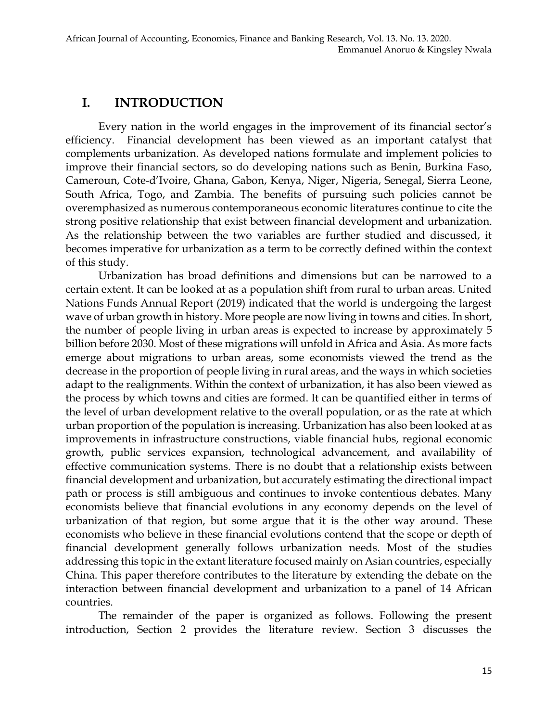### **I. INTRODUCTION**

Every nation in the world engages in the improvement of its financial sector's efficiency. Financial development has been viewed as an important catalyst that complements urbanization. As developed nations formulate and implement policies to improve their financial sectors, so do developing nations such as Benin, Burkina Faso, Cameroun, Cote-d'Ivoire, Ghana, Gabon, Kenya, Niger, Nigeria, Senegal, Sierra Leone, South Africa, Togo, and Zambia. The benefits of pursuing such policies cannot be overemphasized as numerous contemporaneous economic literatures continue to cite the strong positive relationship that exist between financial development and urbanization. As the relationship between the two variables are further studied and discussed, it becomes imperative for urbanization as a term to be correctly defined within the context of this study.

Urbanization has broad definitions and dimensions but can be narrowed to a certain extent. It can be looked at as a population shift from rural to urban areas. United Nations Funds Annual Report (2019) indicated that the world is undergoing the largest wave of urban growth in history. More people are now living in towns and cities. In short, the number of people living in urban areas is expected to increase by approximately 5 billion before 2030. Most of these migrations will unfold in Africa and Asia. As more facts emerge about migrations to urban areas, some economists viewed the trend as the decrease in the proportion of people living in rural areas, and the ways in which societies adapt to the realignments. Within the context of urbanization, it has also been viewed as the process by which towns and cities are formed. It can be quantified either in terms of the level of urban development relative to the overall population, or as the rate at which urban proportion of the population is increasing. Urbanization has also been looked at as improvements in infrastructure constructions, viable financial hubs, regional economic growth, public services expansion, technological advancement, and availability of effective communication systems. There is no doubt that a relationship exists between financial development and urbanization, but accurately estimating the directional impact path or process is still ambiguous and continues to invoke contentious debates. Many economists believe that financial evolutions in any economy depends on the level of urbanization of that region, but some argue that it is the other way around. These economists who believe in these financial evolutions contend that the scope or depth of financial development generally follows urbanization needs. Most of the studies addressing this topic in the extant literature focused mainly on Asian countries, especially China. This paper therefore contributes to the literature by extending the debate on the interaction between financial development and urbanization to a panel of 14 African countries.

The remainder of the paper is organized as follows. Following the present introduction, Section 2 provides the literature review. Section 3 discusses the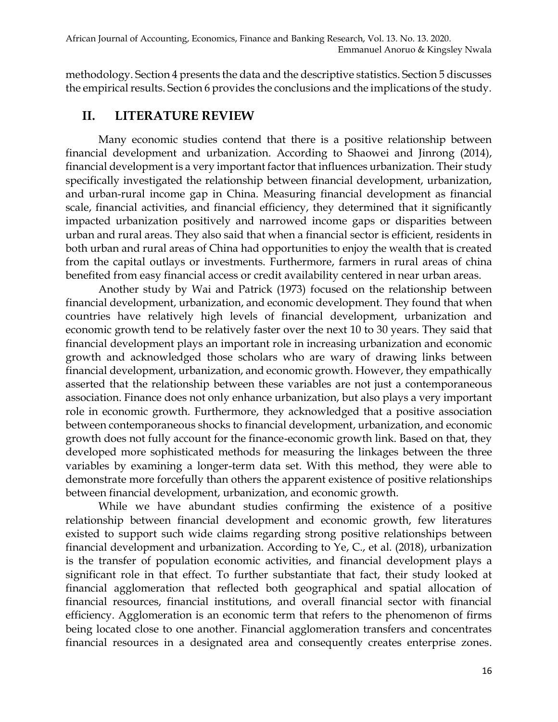methodology. Section 4 presents the data and the descriptive statistics. Section 5 discusses the empirical results. Section 6 provides the conclusions and the implications of the study.

### **II. LITERATURE REVIEW**

Many economic studies contend that there is a positive relationship between financial development and urbanization. According to Shaowei and Jinrong (2014), financial development is a very important factor that influences urbanization. Their study specifically investigated the relationship between financial development, urbanization, and urban-rural income gap in China. Measuring financial development as financial scale, financial activities, and financial efficiency, they determined that it significantly impacted urbanization positively and narrowed income gaps or disparities between urban and rural areas. They also said that when a financial sector is efficient, residents in both urban and rural areas of China had opportunities to enjoy the wealth that is created from the capital outlays or investments. Furthermore, farmers in rural areas of china benefited from easy financial access or credit availability centered in near urban areas.

Another study by Wai and Patrick (1973) focused on the relationship between financial development, urbanization, and economic development. They found that when countries have relatively high levels of financial development, urbanization and economic growth tend to be relatively faster over the next 10 to 30 years. They said that financial development plays an important role in increasing urbanization and economic growth and acknowledged those scholars who are wary of drawing links between financial development, urbanization, and economic growth. However, they empathically asserted that the relationship between these variables are not just a contemporaneous association. Finance does not only enhance urbanization, but also plays a very important role in economic growth. Furthermore, they acknowledged that a positive association between contemporaneous shocks to financial development, urbanization, and economic growth does not fully account for the finance-economic growth link. Based on that, they developed more sophisticated methods for measuring the linkages between the three variables by examining a longer-term data set. With this method, they were able to demonstrate more forcefully than others the apparent existence of positive relationships between financial development, urbanization, and economic growth.

While we have abundant studies confirming the existence of a positive relationship between financial development and economic growth, few literatures existed to support such wide claims regarding strong positive relationships between financial development and urbanization. According to Ye, C., et al. (2018), urbanization is the transfer of population economic activities, and financial development plays a significant role in that effect. To further substantiate that fact, their study looked at financial agglomeration that reflected both geographical and spatial allocation of financial resources, financial institutions, and overall financial sector with financial efficiency. Agglomeration is an economic term that refers to the phenomenon of firms being located close to one another. Financial agglomeration transfers and concentrates financial resources in a designated area and consequently creates enterprise zones.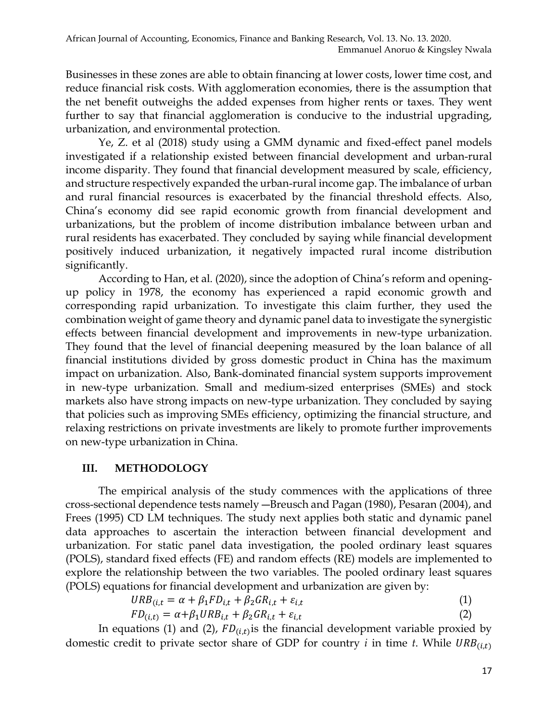Businesses in these zones are able to obtain financing at lower costs, lower time cost, and reduce financial risk costs. With agglomeration economies, there is the assumption that the net benefit outweighs the added expenses from higher rents or taxes. They went further to say that financial agglomeration is conducive to the industrial upgrading, urbanization, and environmental protection.

Ye, Z. et al (2018) study using a GMM dynamic and fixed-effect panel models investigated if a relationship existed between financial development and urban-rural income disparity. They found that financial development measured by scale, efficiency, and structure respectively expanded the urban-rural income gap. The imbalance of urban and rural financial resources is exacerbated by the financial threshold effects. Also, China's economy did see rapid economic growth from financial development and urbanizations, but the problem of income distribution imbalance between urban and rural residents has exacerbated. They concluded by saying while financial development positively induced urbanization, it negatively impacted rural income distribution significantly.

According to Han, et al. (2020), since the adoption of China's reform and openingup policy in 1978, the economy has experienced a rapid economic growth and corresponding rapid urbanization. To investigate this claim further, they used the combination weight of game theory and dynamic panel data to investigate the synergistic effects between financial development and improvements in new-type urbanization. They found that the level of financial deepening measured by the loan balance of all financial institutions divided by gross domestic product in China has the maximum impact on urbanization. Also, Bank-dominated financial system supports improvement in new-type urbanization. Small and medium-sized enterprises (SMEs) and stock markets also have strong impacts on new-type urbanization. They concluded by saying that policies such as improving SMEs efficiency, optimizing the financial structure, and relaxing restrictions on private investments are likely to promote further improvements on new-type urbanization in China.

#### **III. METHODOLOGY**

The empirical analysis of the study commences with the applications of three cross-sectional dependence tests namely ―Breusch and Pagan (1980), Pesaran (2004), and Frees (1995) CD LM techniques. The study next applies both static and dynamic panel data approaches to ascertain the interaction between financial development and urbanization. For static panel data investigation, the pooled ordinary least squares (POLS), standard fixed effects (FE) and random effects (RE) models are implemented to explore the relationship between the two variables. The pooled ordinary least squares (POLS) equations for financial development and urbanization are given by:

$$
URB_{(i,t)} = \alpha + \beta_1 FD_{i,t} + \beta_2 GR_{i,t} + \varepsilon_{i,t}
$$
\n<sup>(1)</sup>

$$
FD_{(i,t)} = \alpha + \beta_1 URB_{i,t} + \beta_2 GR_{i,t} + \varepsilon_{i,t}
$$
\n<sup>(2)</sup>

In equations (1) and (2),  $FD_{(i,t)}$  is the financial development variable proxied by domestic credit to private sector share of GDP for country  $i$  in time  $t$ . While  $URB_{(i,t)}$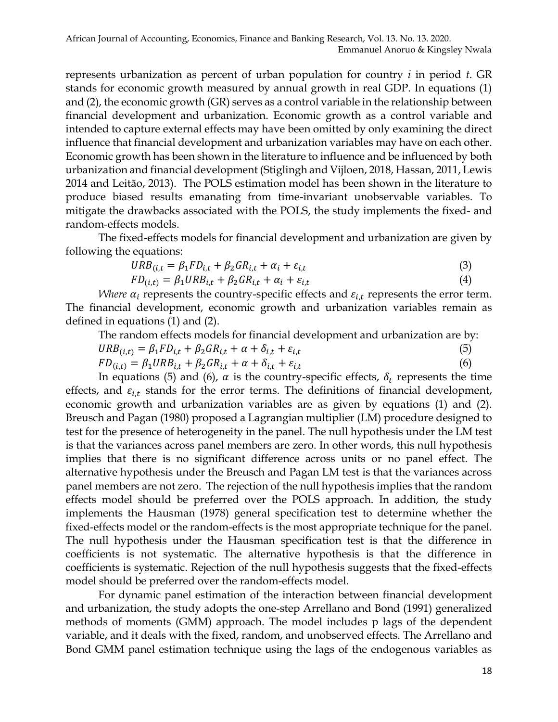represents urbanization as percent of urban population for country *i* in period *t*. GR stands for economic growth measured by annual growth in real GDP. In equations (1) and (2), the economic growth (GR) serves as a control variable in the relationship between financial development and urbanization. Economic growth as a control variable and intended to capture external effects may have been omitted by only examining the direct influence that financial development and urbanization variables may have on each other. Economic growth has been shown in the literature to influence and be influenced by both urbanization and financial development (Stiglingh and Vijloen, 2018, Hassan, 2011, Lewis 2014 and Leitão, 2013). The POLS estimation model has been shown in the literature to produce biased results emanating from time-invariant unobservable variables. To mitigate the drawbacks associated with the POLS, the study implements the fixed- and random-effects models.

The fixed-effects models for financial development and urbanization are given by following the equations:

$$
URB_{(i,t)} = \beta_1 FD_{i,t} + \beta_2 GR_{i,t} + \alpha_i + \varepsilon_{i,t}
$$
\n
$$
\tag{3}
$$

$$
FD_{(i,t)} = \beta_1 URB_{i,t} + \beta_2 GR_{i,t} + \alpha_i + \varepsilon_{i,t}
$$
\n
$$
\tag{4}
$$

*Where*  $\alpha_i$  represents the country-specific effects and  $\varepsilon_{i,t}$  represents the error term. The financial development, economic growth and urbanization variables remain as defined in equations (1) and (2).

The random effects models for financial development and urbanization are by:

$$
URB_{(i,t)} = \beta_1 FD_{i,t} + \beta_2 GR_{i,t} + \alpha + \delta_{i,t} + \varepsilon_{i,t}
$$
\n<sup>(5)</sup>

$$
FD_{(i,t)} = \beta_1 URB_{i,t} + \beta_2 GR_{i,t} + \alpha + \delta_{i,t} + \varepsilon_{i,t}
$$
\n
$$
\tag{6}
$$

In equations (5) and (6),  $\alpha$  is the country-specific effects,  $\delta_t$  represents the time effects, and  $\varepsilon_{i,t}$  stands for the error terms. The definitions of financial development, economic growth and urbanization variables are as given by equations (1) and (2). Breusch and Pagan (1980) proposed a Lagrangian multiplier (LM) procedure designed to test for the presence of heterogeneity in the panel. The null hypothesis under the LM test is that the variances across panel members are zero. In other words, this null hypothesis implies that there is no significant difference across units or no panel effect. The alternative hypothesis under the Breusch and Pagan LM test is that the variances across panel members are not zero. The rejection of the null hypothesis implies that the random effects model should be preferred over the POLS approach. In addition, the study implements the Hausman (1978) general specification test to determine whether the fixed-effects model or the random-effects is the most appropriate technique for the panel. The null hypothesis under the Hausman specification test is that the difference in coefficients is not systematic. The alternative hypothesis is that the difference in coefficients is systematic. Rejection of the null hypothesis suggests that the fixed-effects model should be preferred over the random-effects model.

For dynamic panel estimation of the interaction between financial development and urbanization, the study adopts the one-step Arrellano and Bond (1991) generalized methods of moments (GMM) approach. The model includes p lags of the dependent variable, and it deals with the fixed, random, and unobserved effects. The Arrellano and Bond GMM panel estimation technique using the lags of the endogenous variables as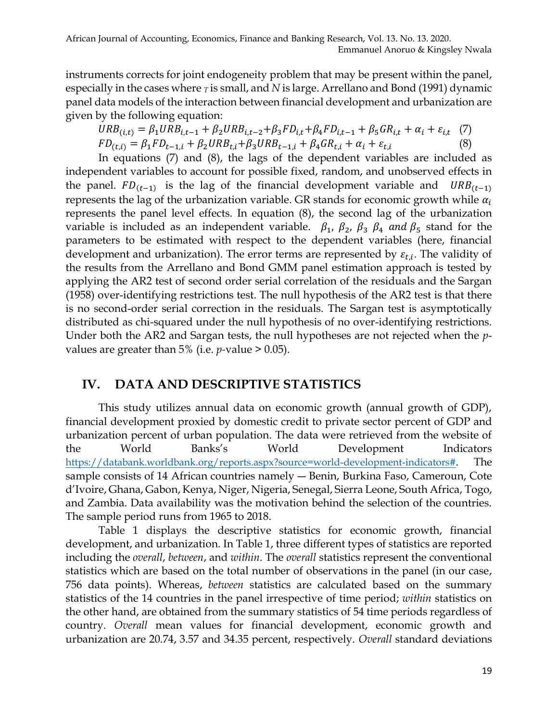instruments corrects for joint endogeneity problem that may be present within the panel, especially in the cases where *<sup>T</sup>* is small, and *N* is large. Arrellano and Bond (1991) dynamic panel data models of the interaction between financial development and urbanization are given by the following equation:

$$
URB_{(i,t)} = \beta_1 URB_{i,t-1} + \beta_2 URB_{i,t-2} + \beta_3 FD_{i,t} + \beta_4 FD_{i,t-1} + \beta_5 GR_{i,t} + \alpha_i + \varepsilon_{i,t} \tag{7}
$$
  

$$
FD_{(t,i)} = \beta_1 FD_{t-1,i} + \beta_2 URB_{t,i} + \beta_3 URB_{t-1,i} + \beta_4 GR_{t,i} + \alpha_i + \varepsilon_{t,i} \tag{8}
$$

In equations (7) and (8), the lags of the dependent variables are included as independent variables to account for possible fixed, random, and unobserved effects in the panel.  $FD_{(t-1)}$  is the lag of the financial development variable and  $URB_{(t-1)}$ represents the lag of the urbanization variable. GR stands for economic growth while  $\alpha_i$ represents the panel level effects. In equation (8), the second lag of the urbanization variable is included as an independent variable.  $\beta_1$ ,  $\beta_2$ ,  $\beta_3$ ,  $\beta_4$  and  $\beta_5$  stand for the parameters to be estimated with respect to the dependent variables (here, financial development and urbanization). The error terms are represented by  $\varepsilon_{t,i}$ . The validity of the results from the Arrellano and Bond GMM panel estimation approach is tested by applying the AR2 test of second order serial correlation of the residuals and the Sargan (1958) over-identifying restrictions test. The null hypothesis of the AR2 test is that there is no second-order serial correction in the residuals. The Sargan test is asymptotically distributed as chi-squared under the null hypothesis of no over-identifying restrictions. Under both the AR2 and Sargan tests, the null hypotheses are not rejected when the *p*values are greater than 5% (i.e. *p-*value > 0.05).

#### **IV. DATA AND DESCRIPTIVE STATISTICS**

This study utilizes annual data on economic growth (annual growth of GDP), financial development proxied by domestic credit to private sector percent of GDP and urbanization percent of urban population. The data were retrieved from the website of the World Banks's World Development Indicators [https://databank.worldbank.org/reports.aspx?source=world-development-indicators#](about:blank). The sample consists of 14 African countries namely ― Benin, Burkina Faso, Cameroun, Cote d'Ivoire, Ghana, Gabon, Kenya, Niger, Nigeria, Senegal, Sierra Leone, South Africa, Togo, and Zambia. Data availability was the motivation behind the selection of the countries. The sample period runs from 1965 to 2018.

Table 1 displays the descriptive statistics for economic growth, financial development, and urbanization. In Table 1, three different types of statistics are reported including the *overall*, *between*, and *within*. The *overall* statistics represent the conventional statistics which are based on the total number of observations in the panel (in our case, 756 data points). Whereas, *between* statistics are calculated based on the summary statistics of the 14 countries in the panel irrespective of time period; *within* statistics on the other hand, are obtained from the summary statistics of 54 time periods regardless of country. *Overall* mean values for financial development, economic growth and urbanization are 20.74, 3.57 and 34.35 percent, respectively. *Overall* standard deviations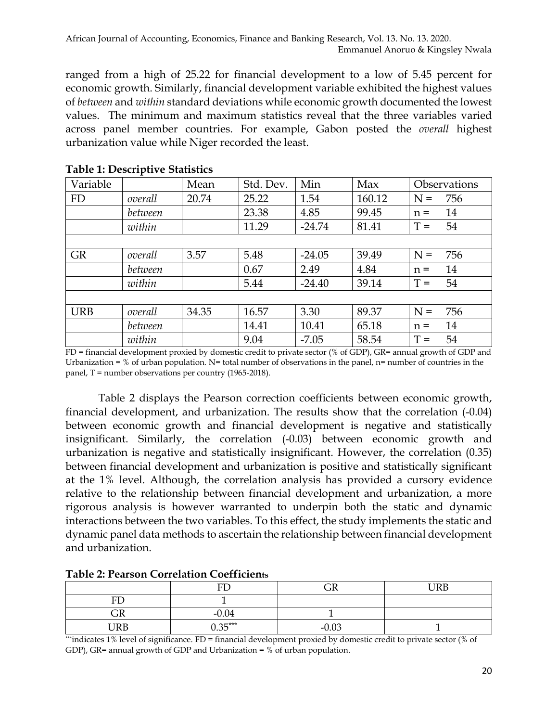ranged from a high of 25.22 for financial development to a low of 5.45 percent for economic growth. Similarly, financial development variable exhibited the highest values of *between* and *within* standard deviations while economic growth documented the lowest values. The minimum and maximum statistics reveal that the three variables varied across panel member countries. For example, Gabon posted the *overall* highest urbanization value while Niger recorded the least.

| Variable   |         | Mean  | Std. Dev. | Min      | Max    | Observations |  |
|------------|---------|-------|-----------|----------|--------|--------------|--|
| <b>FD</b>  | overall | 20.74 | 25.22     | 1.54     | 160.12 | 756<br>$N =$ |  |
|            | between |       | 23.38     | 4.85     | 99.45  | 14<br>$n =$  |  |
|            | within  |       | 11.29     | $-24.74$ | 81.41  | 54<br>$T =$  |  |
|            |         |       |           |          |        |              |  |
| <b>GR</b>  | overall | 3.57  | 5.48      | $-24.05$ | 39.49  | $N =$<br>756 |  |
|            | between |       | 0.67      | 2.49     | 4.84   | 14<br>$n =$  |  |
|            | within  |       | 5.44      | $-24.40$ | 39.14  | 54<br>$T =$  |  |
|            |         |       |           |          |        |              |  |
| <b>URB</b> | overall | 34.35 | 16.57     | 3.30     | 89.37  | $N =$<br>756 |  |
|            | between |       | 14.41     | 10.41    | 65.18  | 14<br>$n =$  |  |
|            | within  |       | 9.04      | $-7.05$  | 58.54  | 54<br>$=$    |  |

#### **Table 1: Descriptive Statistics**

FD = financial development proxied by domestic credit to private sector (% of GDP), GR= annual growth of GDP and Urbanization =  $%$  of urban population. N= total number of observations in the panel, n= number of countries in the panel, T = number observations per country (1965-2018).

Table 2 displays the Pearson correction coefficients between economic growth, financial development, and urbanization. The results show that the correlation (-0.04) between economic growth and financial development is negative and statistically insignificant. Similarly, the correlation (-0.03) between economic growth and urbanization is negative and statistically insignificant. However, the correlation (0.35) between financial development and urbanization is positive and statistically significant at the 1% level. Although, the correlation analysis has provided a cursory evidence relative to the relationship between financial development and urbanization, a more rigorous analysis is however warranted to underpin both the static and dynamic interactions between the two variables. To this effect, the study implements the static and dynamic panel data methods to ascertain the relationship between financial development and urbanization.

| <b>Table 2: Pearson Correlation Coefficients</b> |  |  |  |  |  |
|--------------------------------------------------|--|--|--|--|--|
|                                                  |  |  |  |  |  |

|           | FD        | n n<br>کلت          | <b>IIRR</b> |
|-----------|-----------|---------------------|-------------|
| πт        |           |                     |             |
| ~~<br>كات | $-0.04$   |                     |             |
| URB       | $0.35***$ | $-0.0$ <sup>2</sup> |             |

\*\*\*indicates 1% level of significance. FD = financial development proxied by domestic credit to private sector (% of GDP), GR= annual growth of GDP and Urbanization = % of urban population.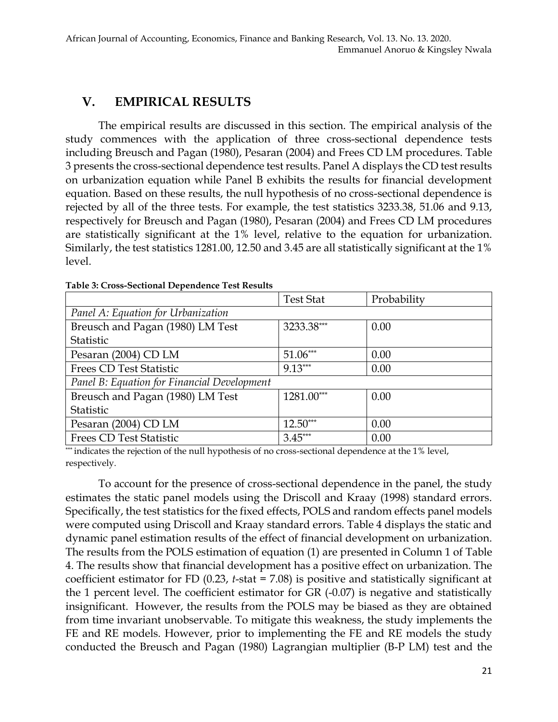### **V. EMPIRICAL RESULTS**

The empirical results are discussed in this section. The empirical analysis of the study commences with the application of three cross-sectional dependence tests including Breusch and Pagan (1980), Pesaran (2004) and Frees CD LM procedures. Table 3 presents the cross-sectional dependence test results. Panel A displays the CD test results on urbanization equation while Panel B exhibits the results for financial development equation. Based on these results, the null hypothesis of no cross-sectional dependence is rejected by all of the three tests. For example, the test statistics 3233.38, 51.06 and 9.13, respectively for Breusch and Pagan (1980), Pesaran (2004) and Frees CD LM procedures are statistically significant at the 1% level, relative to the equation for urbanization. Similarly, the test statistics 1281.00, 12.50 and 3.45 are all statistically significant at the 1% level.

|                                             | <b>Test Stat</b> | Probability |  |  |  |
|---------------------------------------------|------------------|-------------|--|--|--|
| Panel A: Equation for Urbanization          |                  |             |  |  |  |
| Breusch and Pagan (1980) LM Test            | 3233.38***       | 0.00        |  |  |  |
| Statistic                                   |                  |             |  |  |  |
| Pesaran (2004) CD LM                        | $51.06***$       | 0.00        |  |  |  |
| <b>Frees CD Test Statistic</b>              | $9.13***$        | 0.00        |  |  |  |
| Panel B: Equation for Financial Development |                  |             |  |  |  |
| Breusch and Pagan (1980) LM Test            | 1281.00***       | 0.00        |  |  |  |
| Statistic                                   |                  |             |  |  |  |
| Pesaran (2004) CD LM                        | $12.50***$       | 0.00        |  |  |  |
| <b>Frees CD Test Statistic</b>              | $3.45***$        | 0.00        |  |  |  |

\*\*\* indicates the rejection of the null hypothesis of no cross-sectional dependence at the 1% level, respectively.

To account for the presence of cross-sectional dependence in the panel, the study estimates the static panel models using the Driscoll and Kraay (1998) standard errors. Specifically, the test statistics for the fixed effects, POLS and random effects panel models were computed using Driscoll and Kraay standard errors. Table 4 displays the static and dynamic panel estimation results of the effect of financial development on urbanization. The results from the POLS estimation of equation (1) are presented in Column 1 of Table 4. The results show that financial development has a positive effect on urbanization. The coefficient estimator for FD (0.23, *t*-stat = 7.08) is positive and statistically significant at the 1 percent level. The coefficient estimator for GR (-0.07) is negative and statistically insignificant. However, the results from the POLS may be biased as they are obtained from time invariant unobservable. To mitigate this weakness, the study implements the FE and RE models. However, prior to implementing the FE and RE models the study conducted the Breusch and Pagan (1980) Lagrangian multiplier (B-P LM) test and the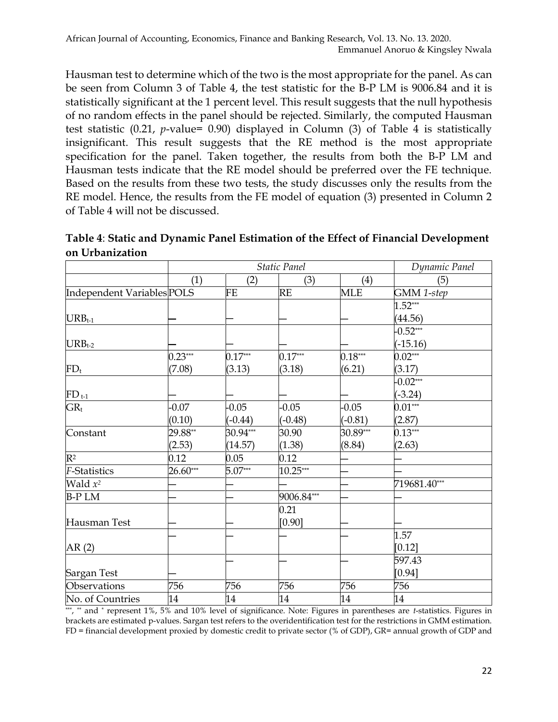Hausman test to determine which of the two is the most appropriate for the panel. As can be seen from Column 3 of Table 4, the test statistic for the B-P LM is 9006.84 and it is statistically significant at the 1 percent level. This result suggests that the null hypothesis of no random effects in the panel should be rejected. Similarly, the computed Hausman test statistic (0.21, *p*-value= 0.90) displayed in Column (3) of Table 4 is statistically insignificant. This result suggests that the RE method is the most appropriate specification for the panel. Taken together, the results from both the B-P LM and Hausman tests indicate that the RE model should be preferred over the FE technique. Based on the results from these two tests, the study discusses only the results from the RE model. Hence, the results from the FE model of equation (3) presented in Column 2 of Table 4 will not be discussed.

|                            |            | <b>Static Panel</b> | Dynamic Panel |            |              |
|----------------------------|------------|---------------------|---------------|------------|--------------|
|                            | (1)        | (2)                 | (3)           | (4)        | (5)          |
| Independent Variables POLS |            | <b>FE</b>           | <b>RE</b>     | <b>MLE</b> | GMM 1-step   |
|                            |            |                     |               |            | $1.52***$    |
| $URB_{t-1}$                |            |                     |               |            | (44.56)      |
|                            |            |                     |               |            | $-0.52***$   |
| $URB_{t-2}$                |            |                     |               |            | $(-15.16)$   |
|                            | $0.23***$  | $0.17***$           | $0.17***$     | $0.18***$  | $0.02***$    |
| $FD_t$                     | (7.08)     | (3.13)              | (3.18)        | (6.21)     | (3.17)       |
|                            |            |                     |               |            | $-0.02***$   |
| $FD_{t-1}$                 |            |                     |               |            | $(-3.24)$    |
| $GR_t$                     | $-0.07$    | $-0.05$             | $-0.05$       | $-0.05$    | $0.01***$    |
|                            | (0.10)     | $(-0.44)$           | $(-0.48)$     | $(-0.81)$  | (2.87)       |
| Constant                   | 29.88**    | $30.94***$          | 30.90         | 30.89***   | $0.13***$    |
|                            | (2.53)     | (14.57)             | (1.38)        | (8.84)     | (2.63)       |
| $\mathbb{R}^2$             | 0.12       | 0.05                | 0.12          |            |              |
| <b>F-Statistics</b>        | $26.60***$ | $5.07***$           | $10.25***$    |            |              |
| Wald $x^2$                 |            |                     |               |            | 719681.40*** |
| <b>B-PLM</b>               |            |                     | 9006.84***    |            |              |
|                            |            |                     | 0.21          |            |              |
| Hausman Test               |            |                     | [0.90]        |            |              |
|                            |            |                     |               |            | 1.57         |
| AR(2)                      |            |                     |               |            | $[0.12]$     |
|                            |            |                     |               |            | 597.43       |
| Sargan Test                |            |                     |               |            | [0.94]       |
| Observations               | 756        | 756                 | 756           | 756        | 756          |
| No. of Countries           | 14         | 14                  | 14            | 14         | 14           |

**Table 4**: **Static and Dynamic Panel Estimation of the Effect of Financial Development on Urbanization** 

\*\*\* , \*\* and \* represent 1%, 5% and 10% level of significance. Note: Figures in parentheses are *t*-statistics. Figures in brackets are estimated p-values. Sargan test refers to the overidentification test for the restrictions in GMM estimation. FD = financial development proxied by domestic credit to private sector (% of GDP), GR= annual growth of GDP and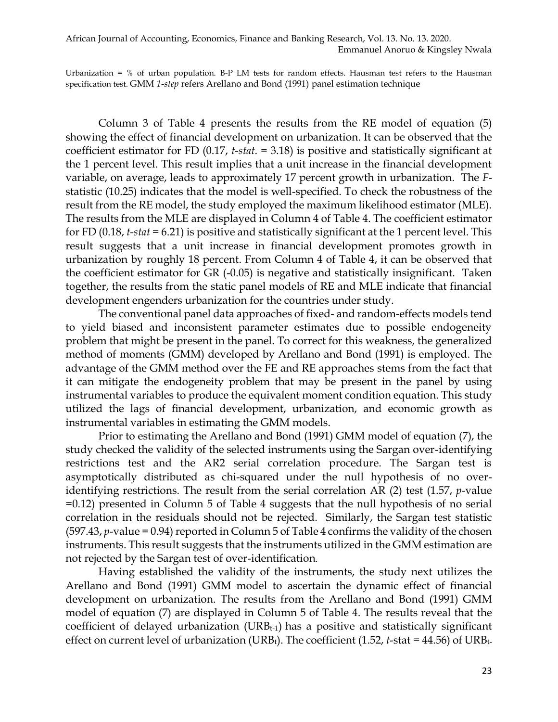African Journal of Accounting, Economics, Finance and Banking Research, Vol. 13. No. 13. 2020. Emmanuel Anoruo & Kingsley Nwala

Urbanization = % of urban population. B-P LM tests for random effects. Hausman test refers to the Hausman specification test. GMM *1*-*step* refers Arellano and Bond (1991) panel estimation technique

Column 3 of Table 4 presents the results from the RE model of equation (5) showing the effect of financial development on urbanization. It can be observed that the coefficient estimator for FD (0.17, *t-stat*. = 3.18) is positive and statistically significant at the 1 percent level. This result implies that a unit increase in the financial development variable, on average, leads to approximately 17 percent growth in urbanization. The *F*statistic (10.25) indicates that the model is well-specified. To check the robustness of the result from the RE model, the study employed the maximum likelihood estimator (MLE). The results from the MLE are displayed in Column 4 of Table 4. The coefficient estimator for FD (0.18, *t-stat* = 6.21) is positive and statistically significant at the 1 percent level. This result suggests that a unit increase in financial development promotes growth in urbanization by roughly 18 percent. From Column 4 of Table 4, it can be observed that the coefficient estimator for GR (-0.05) is negative and statistically insignificant. Taken together, the results from the static panel models of RE and MLE indicate that financial development engenders urbanization for the countries under study.

The conventional panel data approaches of fixed- and random-effects models tend to yield biased and inconsistent parameter estimates due to possible endogeneity problem that might be present in the panel. To correct for this weakness, the generalized method of moments (GMM) developed by Arellano and Bond (1991) is employed. The advantage of the GMM method over the FE and RE approaches stems from the fact that it can mitigate the endogeneity problem that may be present in the panel by using instrumental variables to produce the equivalent moment condition equation. This study utilized the lags of financial development, urbanization, and economic growth as instrumental variables in estimating the GMM models.

Prior to estimating the Arellano and Bond (1991) GMM model of equation (7), the study checked the validity of the selected instruments using the Sargan over-identifying restrictions test and the AR2 serial correlation procedure. The Sargan test is asymptotically distributed as chi-squared under the null hypothesis of no overidentifying restrictions. The result from the serial correlation AR (2) test (1.57, *p*-value =0.12) presented in Column 5 of Table 4 suggests that the null hypothesis of no serial correlation in the residuals should not be rejected. Similarly, the Sargan test statistic (597.43, *p*-value = 0.94) reported in Column 5 of Table 4 confirms the validity of the chosen instruments. This result suggests that the instruments utilized in the GMM estimation are not rejected by the Sargan test of over-identification.

Having established the validity of the instruments, the study next utilizes the Arellano and Bond (1991) GMM model to ascertain the dynamic effect of financial development on urbanization. The results from the Arellano and Bond (1991) GMM model of equation (7) are displayed in Column 5 of Table 4. The results reveal that the coefficient of delayed urbanization (URB<sub>t-1</sub>) has a positive and statistically significant effect on current level of urbanization (URB<sub>t</sub>). The coefficient (1.52, *t*-stat = 44.56) of URB<sub>t-</sub>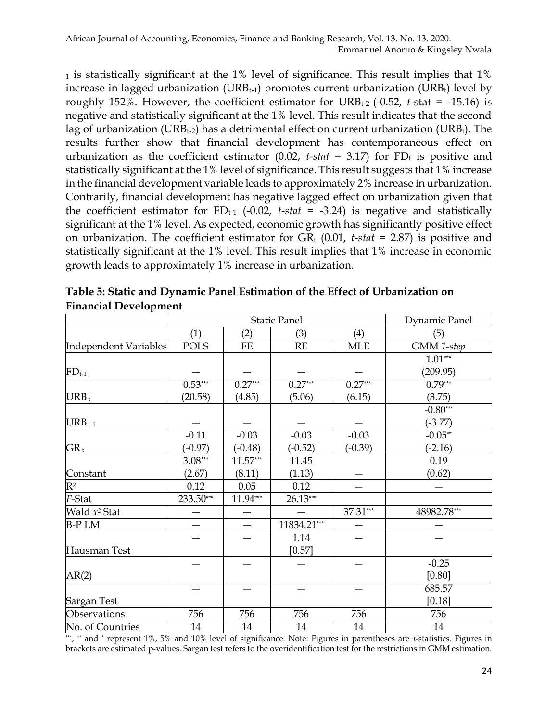<sup>1</sup> is statistically significant at the 1% level of significance. This result implies that 1% increase in lagged urbanization (URB $t$ -1) promotes current urbanization (URB $t$ ) level by roughly 152%. However, the coefficient estimator for URB<sub>t-2</sub> (-0.52, *t*-stat = -15.16) is negative and statistically significant at the 1% level. This result indicates that the second lag of urbanization (URB<sub>t-2</sub>) has a detrimental effect on current urbanization (URB<sub>t</sub>). The results further show that financial development has contemporaneous effect on urbanization as the coefficient estimator  $(0.02, t-stat = 3.17)$  for FD<sub>t</sub> is positive and statistically significant at the 1% level of significance. This result suggests that 1% increase in the financial development variable leads to approximately 2% increase in urbanization. Contrarily, financial development has negative lagged effect on urbanization given that the coefficient estimator for  $FD_{t-1}$  (-0.02, *t-stat* = -3.24) is negative and statistically significant at the 1% level. As expected, economic growth has significantly positive effect on urbanization. The coefficient estimator for  $GR_t$  (0.01, *t-stat* = 2.87) is positive and statistically significant at the 1% level. This result implies that 1% increase in economic growth leads to approximately 1% increase in urbanization.

|                          | <b>Static Panel</b> |            |             |           | Dynamic Panel |
|--------------------------|---------------------|------------|-------------|-----------|---------------|
|                          | (1)                 | (2)        | (3)         | (4)       | (5)           |
| Independent Variables    | <b>POLS</b>         | $FE$       | RE          | MLE       | GMM 1-step    |
|                          |                     |            |             |           | $1.01***$     |
| $FD_{t-1}$               |                     |            |             |           | (209.95)      |
|                          | $0.53***$           | $0.27***$  | $0.27***$   | $0.27***$ | $0.79***$     |
| $URB_t$                  | (20.58)             | (4.85)     | (5.06)      | (6.15)    | (3.75)        |
|                          |                     |            |             |           | $-0.80***$    |
| $URB_{t-1}$              |                     |            |             |           | $(-3.77)$     |
|                          | $-0.11$             | $-0.03$    | $-0.03$     | $-0.03$   | $-0.05**$     |
| ${\rm GR}_{{\rm t}}$     | $(-0.97)$           | $(-0.48)$  | $(-0.52)$   | $(-0.39)$ | $(-2.16)$     |
|                          | $3.08***$           | $11.57***$ | 11.45       |           | 0.19          |
| Constant                 | (2.67)              | (8.11)     | (1.13)      |           | (0.62)        |
| $\mathbb{R}^2$           | 0.12                | 0.05       | 0.12        |           |               |
| F-Stat                   | 233.50***           | $11.94***$ | $26.13***$  |           |               |
| Wald x <sup>2</sup> Stat |                     |            |             | 37.31***  | 48982.78***   |
| <b>B-PLM</b>             |                     |            | 11834.21*** |           |               |
|                          |                     |            | 1.14        |           |               |
| Hausman Test             |                     |            | [0.57]      |           |               |
|                          |                     |            |             |           | $-0.25$       |
| AR(2)                    |                     |            |             |           | [0.80]        |
|                          |                     |            |             |           | 685.57        |
| Sargan Test              |                     |            |             |           | $[0.18]$      |
| Observations             | 756                 | 756        | 756         | 756       | 756           |
| No. of Countries         | 14                  | $14\,$     | 14          | 14        | 14            |

**Table 5: Static and Dynamic Panel Estimation of the Effect of Urbanization on Financial Development**

\*\*\* , \*\* and \* represent 1%, 5% and 10% level of significance. Note: Figures in parentheses are *t*-statistics. Figures in brackets are estimated p-values. Sargan test refers to the overidentification test for the restrictions in GMM estimation.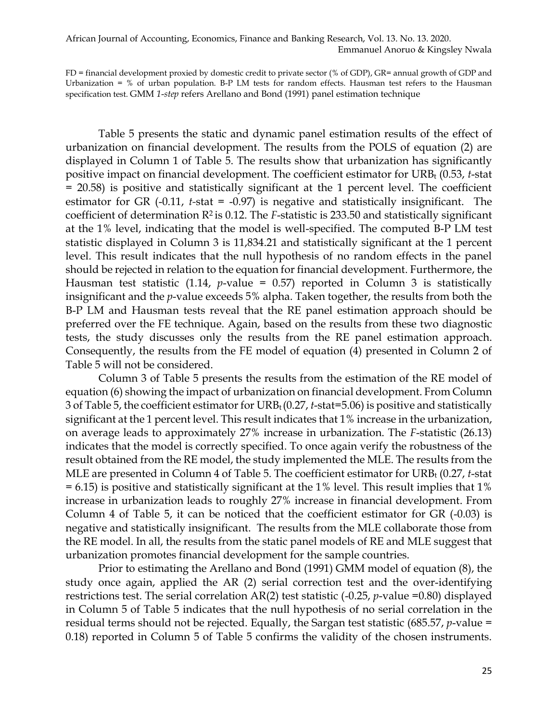#### African Journal of Accounting, Economics, Finance and Banking Research, Vol. 13. No. 13. 2020. Emmanuel Anoruo & Kingsley Nwala

FD = financial development proxied by domestic credit to private sector (% of GDP), GR= annual growth of GDP and Urbanization = % of urban population. B-P LM tests for random effects. Hausman test refers to the Hausman specification test. GMM *1*-*step* refers Arellano and Bond (1991) panel estimation technique

Table 5 presents the static and dynamic panel estimation results of the effect of urbanization on financial development. The results from the POLS of equation (2) are displayed in Column 1 of Table 5. The results show that urbanization has significantly positive impact on financial development. The coefficient estimator for URB<sub>t</sub> (0.53, *t*-stat = 20.58) is positive and statistically significant at the 1 percent level. The coefficient estimator for GR (-0.11, *t-*stat = -0.97) is negative and statistically insignificant. The coefficient of determination R2 is 0.12. The *F*-statistic is 233.50 and statistically significant at the 1% level, indicating that the model is well-specified. The computed B-P LM test statistic displayed in Column 3 is 11,834.21 and statistically significant at the 1 percent level. This result indicates that the null hypothesis of no random effects in the panel should be rejected in relation to the equation for financial development. Furthermore, the Hausman test statistic (1.14, *p*-value = 0.57) reported in Column 3 is statistically insignificant and the *p*-value exceeds 5% alpha. Taken together, the results from both the B-P LM and Hausman tests reveal that the RE panel estimation approach should be preferred over the FE technique. Again, based on the results from these two diagnostic tests, the study discusses only the results from the RE panel estimation approach. Consequently, the results from the FE model of equation (4) presented in Column 2 of Table 5 will not be considered.

Column 3 of Table 5 presents the results from the estimation of the RE model of equation (6) showing the impact of urbanization on financial development. From Column 3 of Table 5, the coefficient estimator for URBt (0.27, *t*-stat=5.06) is positive and statistically significant at the 1 percent level. This result indicates that 1% increase in the urbanization, on average leads to approximately 27% increase in urbanization. The *F*-statistic (26.13) indicates that the model is correctly specified. To once again verify the robustness of the result obtained from the RE model, the study implemented the MLE. The results from the MLE are presented in Column 4 of Table 5. The coefficient estimator for URB<sub>t</sub> (0.27, *t*-stat  $= 6.15$ ) is positive and statistically significant at the 1% level. This result implies that 1% increase in urbanization leads to roughly 27% increase in financial development. From Column 4 of Table 5, it can be noticed that the coefficient estimator for GR (-0.03) is negative and statistically insignificant. The results from the MLE collaborate those from the RE model. In all, the results from the static panel models of RE and MLE suggest that urbanization promotes financial development for the sample countries.

Prior to estimating the Arellano and Bond (1991) GMM model of equation (8), the study once again, applied the AR (2) serial correction test and the over-identifying restrictions test. The serial correlation AR(2) test statistic (-0.25, *p*-value =0.80) displayed in Column 5 of Table 5 indicates that the null hypothesis of no serial correlation in the residual terms should not be rejected. Equally, the Sargan test statistic (685.57, *p*-value = 0.18) reported in Column 5 of Table 5 confirms the validity of the chosen instruments.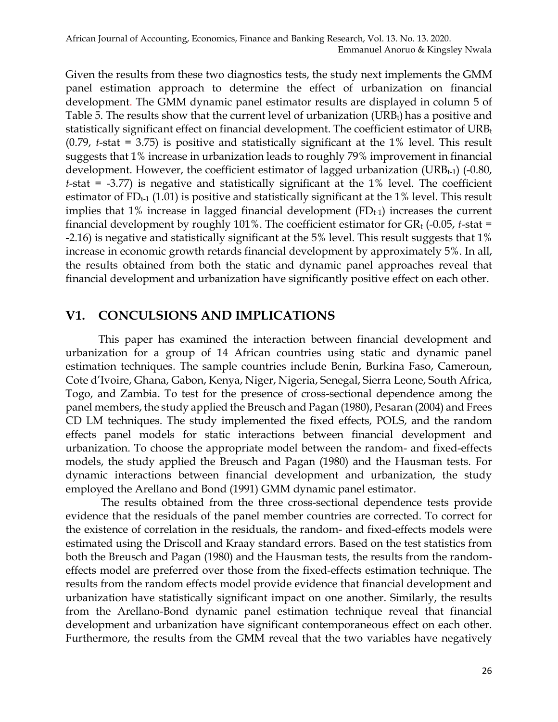Given the results from these two diagnostics tests, the study next implements the GMM panel estimation approach to determine the effect of urbanization on financial development. The GMM dynamic panel estimator results are displayed in column 5 of Table 5. The results show that the current level of urbanization  $(URB_t)$  has a positive and statistically significant effect on financial development. The coefficient estimator of URBt (0.79, *t*-stat = 3.75) is positive and statistically significant at the 1% level. This result suggests that 1% increase in urbanization leads to roughly 79% improvement in financial development. However, the coefficient estimator of lagged urbanization (URB $_{t-1}$ ) (-0.80, *t*-stat = -3.77) is negative and statistically significant at the 1% level. The coefficient estimator of  $FD_{t-1}$  (1.01) is positive and statistically significant at the 1% level. This result implies that  $1\%$  increase in lagged financial development  $(FD_{t-1})$  increases the current financial development by roughly 101%. The coefficient estimator for  $GR_t$  (-0.05, *t*-stat = -2.16) is negative and statistically significant at the 5% level. This result suggests that 1% increase in economic growth retards financial development by approximately 5%. In all, the results obtained from both the static and dynamic panel approaches reveal that financial development and urbanization have significantly positive effect on each other.

#### **V1. CONCULSIONS AND IMPLICATIONS**

This paper has examined the interaction between financial development and urbanization for a group of 14 African countries using static and dynamic panel estimation techniques. The sample countries include Benin, Burkina Faso, Cameroun, Cote d'Ivoire, Ghana, Gabon, Kenya, Niger, Nigeria, Senegal, Sierra Leone, South Africa, Togo, and Zambia. To test for the presence of cross-sectional dependence among the panel members, the study applied the Breusch and Pagan (1980), Pesaran (2004) and Frees CD LM techniques. The study implemented the fixed effects, POLS, and the random effects panel models for static interactions between financial development and urbanization. To choose the appropriate model between the random- and fixed-effects models, the study applied the Breusch and Pagan (1980) and the Hausman tests. For dynamic interactions between financial development and urbanization, the study employed the Arellano and Bond (1991) GMM dynamic panel estimator.

The results obtained from the three cross-sectional dependence tests provide evidence that the residuals of the panel member countries are corrected. To correct for the existence of correlation in the residuals, the random- and fixed-effects models were estimated using the Driscoll and Kraay standard errors. Based on the test statistics from both the Breusch and Pagan (1980) and the Hausman tests, the results from the randomeffects model are preferred over those from the fixed-effects estimation technique. The results from the random effects model provide evidence that financial development and urbanization have statistically significant impact on one another. Similarly, the results from the Arellano-Bond dynamic panel estimation technique reveal that financial development and urbanization have significant contemporaneous effect on each other. Furthermore, the results from the GMM reveal that the two variables have negatively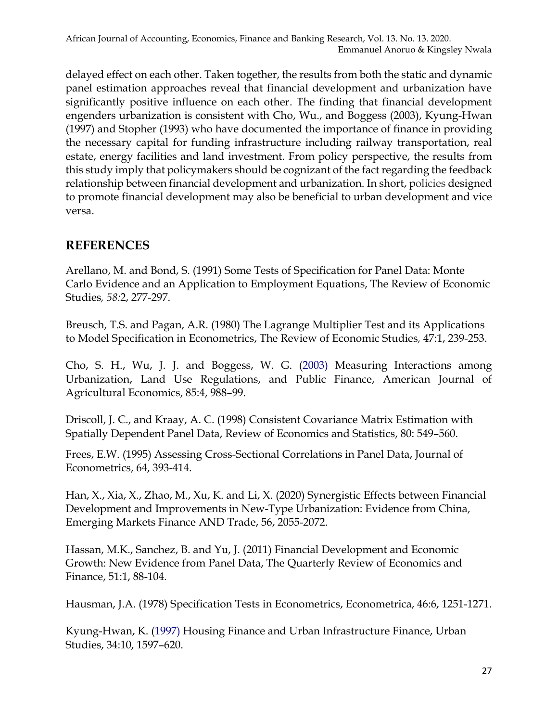delayed effect on each other. Taken together, the results from both the static and dynamic panel estimation approaches reveal that financial development and urbanization have significantly positive influence on each other. The finding that financial development engenders urbanization is consistent with Cho, Wu., and Boggess (2003), Kyung-Hwan (1997) and Stopher (1993) who have documented the importance of finance in providing the necessary capital for funding infrastructure including railway transportation, real estate, energy facilities and land investment. From policy perspective, the results from this study imply that policymakers should be cognizant of the fact regarding the feedback relationship between financial development and urbanization. In short, policies designed to promote financial development may also be beneficial to urban development and vice versa.

### **REFERENCES**

Arellano, M. and Bond, S. (1991) Some Tests of Specification for Panel Data: Monte Carlo Evidence and an Application to Employment Equations, The Review of Economic Studies*, 58:*2, 277-297.

Breusch, T.S. and Pagan, A.R. (1980) The Lagrange Multiplier Test and its Applications to Model Specification in Econometrics, The Review of Economic Studies*,* 47:1, 239-253.

Cho, S. H., Wu, J. J. and Boggess, W. G. (2003) Measuring Interactions among Urbanization, Land Use Regulations, and Public Finance, American Journal of Agricultural Economics, 85:4, 988–99.

Driscoll, J. C., and Kraay, A. C. (1998) Consistent Covariance Matrix Estimation with Spatially Dependent Panel Data, Review of Economics and Statistics, 80: 549–560.

Frees, E.W. (1995) Assessing Cross-Sectional Correlations in Panel Data, Journal of Econometrics, 64, 393-414.

Han, X., Xia, X., Zhao, M., Xu, K. and Li, X. (2020) Synergistic Effects between Financial Development and Improvements in New-Type Urbanization: Evidence from China, Emerging Markets Finance AND Trade, 56, 2055-2072.

Hassan, M.K., Sanchez, B. and Yu, J. (2011) Financial Development and Economic Growth: New Evidence from Panel Data, The Quarterly Review of Economics and Finance, 51:1, 88-104.

Hausman, J.A. (1978) Specification Tests in Econometrics, Econometrica, 46:6, 1251-1271.

Kyung-Hwan, K. (1997) Housing Finance and Urban Infrastructure Finance, Urban Studies, 34:10, 1597–620.